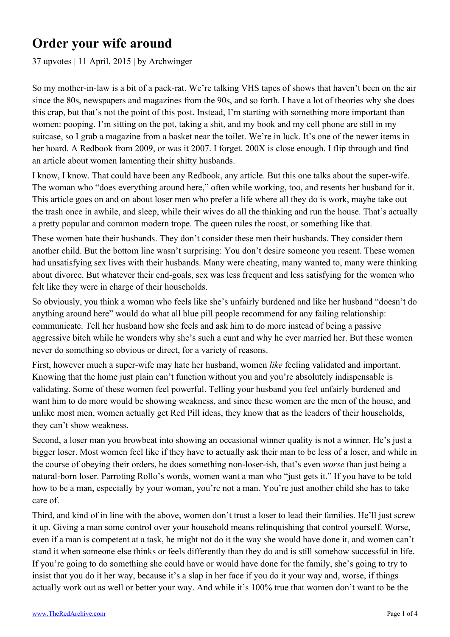## **Order your wife around**

37 upvotes | 11 April, 2015 | by Archwinger

So my mother-in-law is a bit of a pack-rat. We're talking VHS tapes of shows that haven't been on the air since the 80s, newspapers and magazines from the 90s, and so forth. I have a lot of theories why she does this crap, but that's not the point of this post. Instead, I'm starting with something more important than women: pooping. I'm sitting on the pot, taking a shit, and my book and my cell phone are still in my suitcase, so I grab a magazine from a basket near the toilet. We're in luck. It's one of the newer items in her hoard. A Redbook from 2009, or was it 2007. I forget. 200X is close enough. I flip through and find an article about women lamenting their shitty husbands.

I know, I know. That could have been any Redbook, any article. But this one talks about the super-wife. The woman who "does everything around here," often while working, too, and resents her husband for it. This article goes on and on about loser men who prefer a life where all they do is work, maybe take out the trash once in awhile, and sleep, while their wives do all the thinking and run the house. That's actually a pretty popular and common modern trope. The queen rules the roost, or something like that.

These women hate their husbands. They don't consider these men their husbands. They consider them another child. But the bottom line wasn't surprising: You don't desire someone you resent. These women had unsatisfying sex lives with their husbands. Many were cheating, many wanted to, many were thinking about divorce. But whatever their end-goals, sex was less frequent and less satisfying for the women who felt like they were in charge of their households.

So obviously, you think a woman who feels like she's unfairly burdened and like her husband "doesn't do anything around here" would do what all blue pill people recommend for any failing relationship: communicate. Tell her husband how she feels and ask him to do more instead of being a passive aggressive bitch while he wonders why she's such a cunt and why he ever married her. But these women never do something so obvious or direct, for a variety of reasons.

First, however much a super-wife may hate her husband, women *like* feeling validated and important. Knowing that the home just plain can't function without you and you're absolutely indispensable is validating. Some of these women feel powerful. Telling your husband you feel unfairly burdened and want him to do more would be showing weakness, and since these women are the men of the house, and unlike most men, women actually get Red Pill ideas, they know that as the leaders of their households, they can't show weakness.

Second, a loser man you browbeat into showing an occasional winner quality is not a winner. He's just a bigger loser. Most women feel like if they have to actually ask their man to be less of a loser, and while in the course of obeying their orders, he does something non-loser-ish, that's even *worse* than just being a natural-born loser. Parroting Rollo's words, women want a man who "just gets it." If you have to be told how to be a man, especially by your woman, you're not a man. You're just another child she has to take care of.

Third, and kind of in line with the above, women don't trust a loser to lead their families. He'll just screw it up. Giving a man some control over your household means relinquishing that control yourself. Worse, even if a man is competent at a task, he might not do it the way she would have done it, and women can't stand it when someone else thinks or feels differently than they do and is still somehow successful in life. If you're going to do something she could have or would have done for the family, she's going to try to insist that you do it her way, because it's a slap in her face if you do it your way and, worse, if things actually work out as well or better your way. And while it's 100% true that women don't want to be the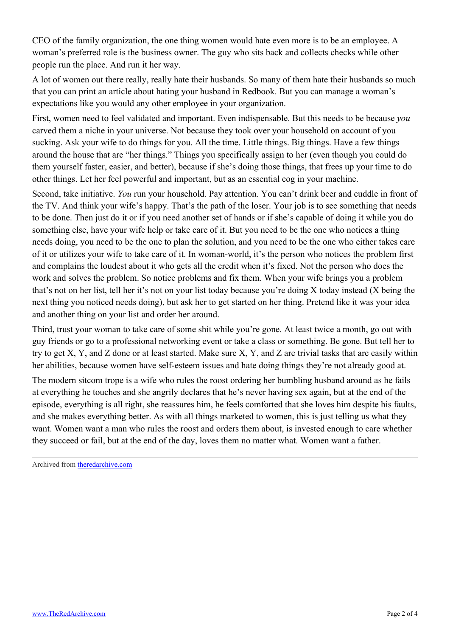CEO of the family organization, the one thing women would hate even more is to be an employee. A woman's preferred role is the business owner. The guy who sits back and collects checks while other people run the place. And run it her way.

A lot of women out there really, really hate their husbands. So many of them hate their husbands so much that you can print an article about hating your husband in Redbook. But you can manage a woman's expectations like you would any other employee in your organization.

First, women need to feel validated and important. Even indispensable. But this needs to be because *you* carved them a niche in your universe. Not because they took over your household on account of you sucking. Ask your wife to do things for you. All the time. Little things. Big things. Have a few things around the house that are "her things." Things you specifically assign to her (even though you could do them yourself faster, easier, and better), because if she's doing those things, that frees up your time to do other things. Let her feel powerful and important, but as an essential cog in your machine.

Second, take initiative. *You* run your household. Pay attention. You can't drink beer and cuddle in front of the TV. And think your wife's happy. That's the path of the loser. Your job is to see something that needs to be done. Then just do it or if you need another set of hands or if she's capable of doing it while you do something else, have your wife help or take care of it. But you need to be the one who notices a thing needs doing, you need to be the one to plan the solution, and you need to be the one who either takes care of it or utilizes your wife to take care of it. In woman-world, it's the person who notices the problem first and complains the loudest about it who gets all the credit when it's fixed. Not the person who does the work and solves the problem. So notice problems and fix them. When your wife brings you a problem that's not on her list, tell her it's not on your list today because you're doing X today instead (X being the next thing you noticed needs doing), but ask her to get started on her thing. Pretend like it was your idea and another thing on your list and order her around.

Third, trust your woman to take care of some shit while you're gone. At least twice a month, go out with guy friends or go to a professional networking event or take a class or something. Be gone. But tell her to try to get X, Y, and Z done or at least started. Make sure X, Y, and Z are trivial tasks that are easily within her abilities, because women have self-esteem issues and hate doing things they're not already good at.

The modern sitcom trope is a wife who rules the roost ordering her bumbling husband around as he fails at everything he touches and she angrily declares that he's never having sex again, but at the end of the episode, everything is all right, she reassures him, he feels comforted that she loves him despite his faults, and she makes everything better. As with all things marketed to women, this is just telling us what they want. Women want a man who rules the roost and orders them about, is invested enough to care whether they succeed or fail, but at the end of the day, loves them no matter what. Women want a father.

Archived from [theredarchive.com](https://theredarchive.com/r/MarriedRedPill/order-your-wife-around.202174)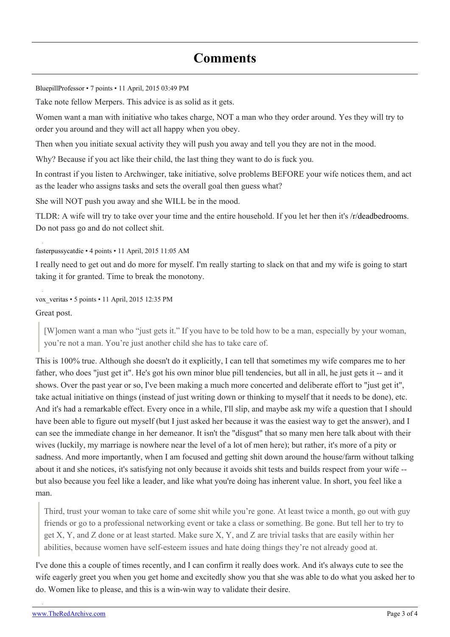## **Comments**

[BluepillProfessor](https://old.reddit.com/user/BluepillProfessor) • 7 points • 11 April, 2015 03:49 PM

Take note fellow Merpers. This advice is as solid as it gets.

Women want a man with initiative who takes charge, NOT a man who they order around. Yes they will try to order you around and they will act all happy when you obey.

Then when you initiate sexual activity they will push you away and tell you they are not in the mood.

Why? Because if you act like their child, the last thing they want to do is fuck you.

In contrast if you listen to Archwinger, take initiative, solve problems BEFORE your wife notices them, and act as the leader who assigns tasks and sets the overall goal then guess what?

She will NOT push you away and she WILL be in the mood.

TLDR: A wife will try to take over your time and the entire household. If you let her then it's [/r/deadbedrooms](https://theredarchive.com/r/deadbedrooms). Do not pass go and do not collect shit.

[fasterpussycatdie](https://old.reddit.com/user/fasterpussycatdie) • 4 points • 11 April, 2015 11:05 AM

I really need to get out and do more for myself. I'm really starting to slack on that and my wife is going to start taking it for granted. Time to break the monotony.

[vox\\_veritas](https://old.reddit.com/user/vox_veritas) • 5 points • 11 April, 2015 12:35 PM

Great post.

[W]omen want a man who "just gets it." If you have to be told how to be a man, especially by your woman, you're not a man. You're just another child she has to take care of.

This is 100% true. Although she doesn't do it explicitly, I can tell that sometimes my wife compares me to her father, who does "just get it". He's got his own minor blue pill tendencies, but all in all, he just gets it -- and it shows. Over the past year or so, I've been making a much more concerted and deliberate effort to "just get it", take actual initiative on things (instead of just writing down or thinking to myself that it needs to be done), etc. And it's had a remarkable effect. Every once in a while, I'll slip, and maybe ask my wife a question that I should have been able to figure out myself (but I just asked her because it was the easiest way to get the answer), and I can see the immediate change in her demeanor. It isn't the "disgust" that so many men here talk about with their wives (luckily, my marriage is nowhere near the level of a lot of men here); but rather, it's more of a pity or sadness. And more importantly, when I am focused and getting shit down around the house/farm without talking about it and she notices, it's satisfying not only because it avoids shit tests and builds respect from your wife - but also because you feel like a leader, and like what you're doing has inherent value. In short, you feel like a man.

Third, trust your woman to take care of some shit while you're gone. At least twice a month, go out with guy friends or go to a professional networking event or take a class or something. Be gone. But tell her to try to get X, Y, and Z done or at least started. Make sure X, Y, and Z are trivial tasks that are easily within her abilities, because women have self-esteem issues and hate doing things they're not already good at.

I've done this a couple of times recently, and I can confirm it really does work. And it's always cute to see the wife eagerly greet you when you get home and excitedly show you that she was able to do what you asked her to do. Women like to please, and this is a win-win way to validate their desire.